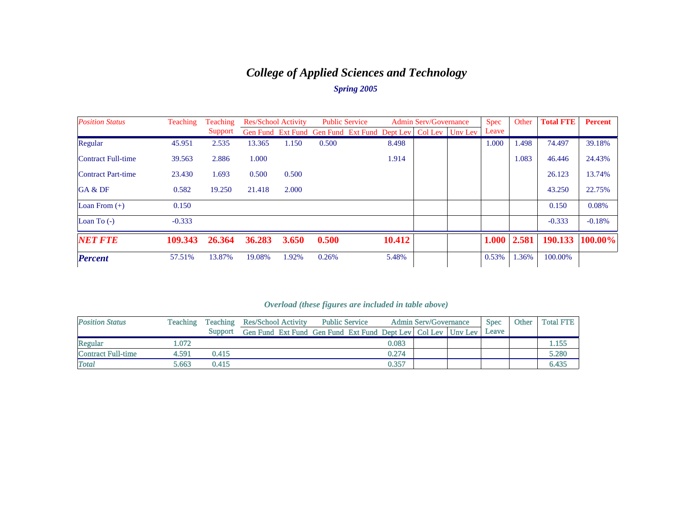# *College of Applied Sciences and Technology Spring 2005*

| <b>Position Status</b>    | <b>Teaching</b><br><b>Teaching</b> |         |        | <b>Res/School Activity</b> |                                              | <b>Public Service</b> |        | <b>Admin Serv/Governance</b> |                           | <b>Spec</b> | Other | <b>Total FTE</b> | <b>Percent</b> |
|---------------------------|------------------------------------|---------|--------|----------------------------|----------------------------------------------|-----------------------|--------|------------------------------|---------------------------|-------------|-------|------------------|----------------|
|                           |                                    | Support |        |                            | Gen Fund Ext Fund Gen Fund Ext Fund Dept Lev |                       |        |                              | $Col$ Lev $\vert$ Uny Lev | Leave       |       |                  |                |
| Regular                   | 45.951                             | 2.535   | 13.365 | 1.150                      | 0.500                                        |                       | 8.498  |                              |                           | 1.000       | 1.498 | 74.497           | 39.18%         |
| <b>Contract Full-time</b> | 39.563                             | 2.886   | 1.000  |                            |                                              |                       | 1.914  |                              |                           |             | 1.083 | 46.446           | 24.43%         |
| <b>Contract Part-time</b> | 23.430                             | 1.693   | 0.500  | 0.500                      |                                              |                       |        |                              |                           |             |       | 26.123           | 13.74%         |
| GA & DF                   | 0.582                              | 19.250  | 21.418 | 2.000                      |                                              |                       |        |                              |                           |             |       | 43.250           | 22.75%         |
| Loan From $(+)$           | 0.150                              |         |        |                            |                                              |                       |        |                              |                           |             |       | 0.150            | 0.08%          |
| Loan To $(-)$             | $-0.333$                           |         |        |                            |                                              |                       |        |                              |                           |             |       | $-0.333$         | $-0.18%$       |
| <b>NET FTE</b>            | 109.343                            | 26.364  | 36.283 | <b>3.650</b>               | 0.500                                        |                       | 10.412 |                              |                           | 1.000       | 2.581 | 190.133          | 100.00%        |
| <b>Percent</b>            | 57.51%                             | 13.87%  | 19.08% | 1.92%                      | 0.26%                                        |                       | 5.48%  |                              |                           | 0.53%       | 1.36% | 100.00%          |                |

| <b>Position Status</b>    | <b>Teaching</b> | <b>Teaching</b> | <b>Res/School Activity</b>                                       | <b>Public Service</b> |       | <b>Admin Serv/Governance</b> | <b>Spec</b> | Other | <b>Total FTE</b> |
|---------------------------|-----------------|-----------------|------------------------------------------------------------------|-----------------------|-------|------------------------------|-------------|-------|------------------|
|                           |                 | Support         | Gen Fund Ext Fund Gen Fund Ext Fund Dept Lev   Col Lev   Uny Lev |                       |       |                              | Leave       |       |                  |
| Regular                   | .072            |                 |                                                                  |                       | 0.083 |                              |             |       | .155             |
| <b>Contract Full-time</b> | 4.591           | 0.415           |                                                                  |                       | 0.274 |                              |             |       | 5.280            |
| Total                     | 5.663           | 0.415           |                                                                  |                       | 0.357 |                              |             |       | 6.435            |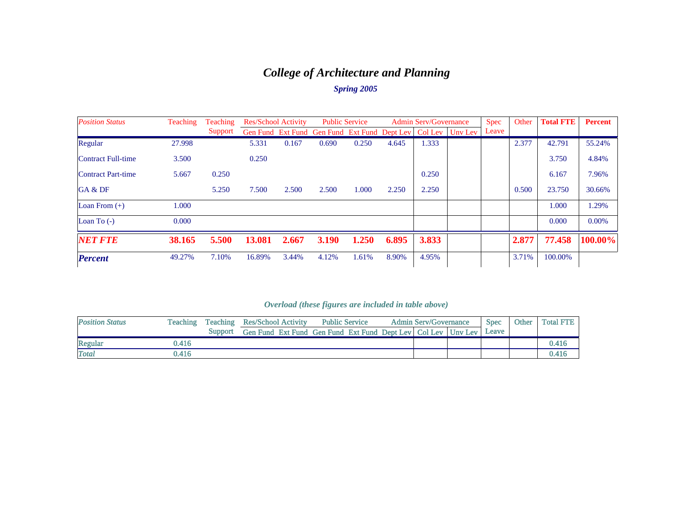# *College of Architecture and Planning*

## *Spring 2005*

| <b>Position Status</b> | Teaching | <b>Teaching</b> | <b>Res/School Activity</b> |       |                                                        | <b>Public Service</b> |       | <b>Admin Serv/Governance</b> |         | <b>Spec</b> | Other | <b>Total FTE</b> | <b>Percent</b> |
|------------------------|----------|-----------------|----------------------------|-------|--------------------------------------------------------|-----------------------|-------|------------------------------|---------|-------------|-------|------------------|----------------|
|                        |          | Support         |                            |       | Gen Fund Ext Fund Gen Fund Ext Fund Dept Lev   Col Lev |                       |       |                              | Unv Lev | Leave       |       |                  |                |
| Regular                | 27.998   |                 | 5.331                      | 0.167 | 0.690                                                  | 0.250                 | 4.645 | 1.333                        |         |             | 2.377 | 42.791           | 55.24%         |
| Contract Full-time     | 3.500    |                 | 0.250                      |       |                                                        |                       |       |                              |         |             |       | 3.750            | 4.84%          |
| Contract Part-time     | 5.667    | 0.250           |                            |       |                                                        |                       |       | 0.250                        |         |             |       | 6.167            | 7.96%          |
| GA & DF                |          | 5.250           | 7.500                      | 2.500 | 2.500                                                  | 1.000                 | 2.250 | 2.250                        |         |             | 0.500 | 23.750           | 30.66%         |
| Loan From $(+)$        | 1.000    |                 |                            |       |                                                        |                       |       |                              |         |             |       | 1.000            | 1.29%          |
| Loan To $(-)$          | 0.000    |                 |                            |       |                                                        |                       |       |                              |         |             |       | 0.000            | $0.00\%$       |
| <b>NET FTE</b>         | 38.165   | 5.500           | 13.081                     | 2.667 | <b>3.190</b>                                           | 1.250                 | 6.895 | 3.833                        |         |             | 2.877 | 77.458           | 100.00%        |
| <b>Percent</b>         | 49.27%   | 7.10%           | 16.89%                     | 3.44% | 4.12%                                                  | 1.61%                 | 8.90% | 4.95%                        |         |             | 3.71% | 100.00%          |                |

| <b>Position Status</b> | Teaching | Teaching | <b>Res/School Activity</b>                                       | <b>Public Service</b> |  | <b>Admin Serv/Governance</b> | <b>Spec</b> | Other | <b>Total FTE</b> |
|------------------------|----------|----------|------------------------------------------------------------------|-----------------------|--|------------------------------|-------------|-------|------------------|
|                        |          | Support  | Gen Fund Ext Fund Gen Fund Ext Fund Dept Lev   Col Lev   Unv Lev |                       |  |                              | Leave       |       |                  |
| Regular                | ).416    |          |                                                                  |                       |  |                              |             |       | 0.416            |
| <b>Total</b>           | ).416    |          |                                                                  |                       |  |                              |             |       | ).416            |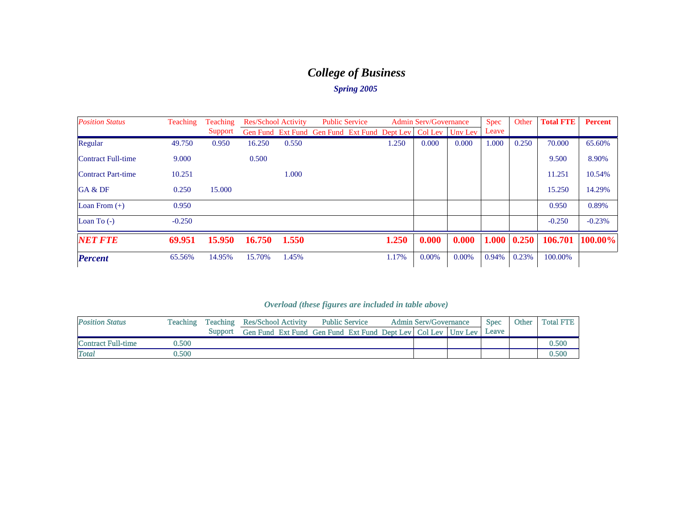# *College of Business*

### *Spring 2005*

| <b>Position Status</b>    | Teaching | <b>Teaching</b> |        | <b>Res/School Activity</b> | <b>Public Service</b>                        |       | <b>Admin Serv/Governance</b> |         | <b>Spec</b> | Other | <b>Total FTE</b> | <b>Percent</b> |
|---------------------------|----------|-----------------|--------|----------------------------|----------------------------------------------|-------|------------------------------|---------|-------------|-------|------------------|----------------|
|                           |          | Support         |        |                            | Gen Fund Ext Fund Gen Fund Ext Fund Dept Lev |       | Col Lev                      | Unv Lev | Leave       |       |                  |                |
| Regular                   | 49.750   | 0.950           | 16.250 | 0.550                      |                                              | 1.250 | 0.000                        | 0.000   | 1.000       | 0.250 | 70,000           | 65.60%         |
| <b>Contract Full-time</b> | 9.000    |                 | 0.500  |                            |                                              |       |                              |         |             |       | 9.500            | 8.90%          |
| <b>Contract Part-time</b> | 10.251   |                 |        | 1.000                      |                                              |       |                              |         |             |       | 11.251           | 10.54%         |
| GA & DF                   | 0.250    | 15.000          |        |                            |                                              |       |                              |         |             |       | 15.250           | 14.29%         |
| Loan From $(+)$           | 0.950    |                 |        |                            |                                              |       |                              |         |             |       | 0.950            | 0.89%          |
| Loan To $(-)$             | $-0.250$ |                 |        |                            |                                              |       |                              |         |             |       | $-0.250$         | $-0.23%$       |
| <b>NET FTE</b>            | 69.951   | 15.950          | 16.750 | 1.550                      |                                              | 1.250 | 0.000                        | 0.000   | 1.000       | 0.250 | 106.701          | 100.00%        |
| <b>Percent</b>            | 65.56%   | 14.95%          | 15.70% | 1.45%                      |                                              | 1.17% | 0.00%                        | 0.00%   | 0.94%       | 0.23% | 100.00%          |                |

| <b>Position Status</b> | Teaching | <b>Teaching</b> | <b>Res/School Activity</b> | <b>Public Service</b>                                            | <b>Admin Serv/Governance</b> | <b>Spec</b> | Other | <b>Total FTE</b> |
|------------------------|----------|-----------------|----------------------------|------------------------------------------------------------------|------------------------------|-------------|-------|------------------|
|                        |          | Support         |                            | Gen Fund Ext Fund Gen Fund Ext Fund Dept Lev   Col Lev   Uny Lev |                              | Leave       |       |                  |
| Contract Full-time     | 0.500    |                 |                            |                                                                  |                              |             |       | ).500            |
| <b>Total</b>           | 0.500    |                 |                            |                                                                  |                              |             |       | ).500            |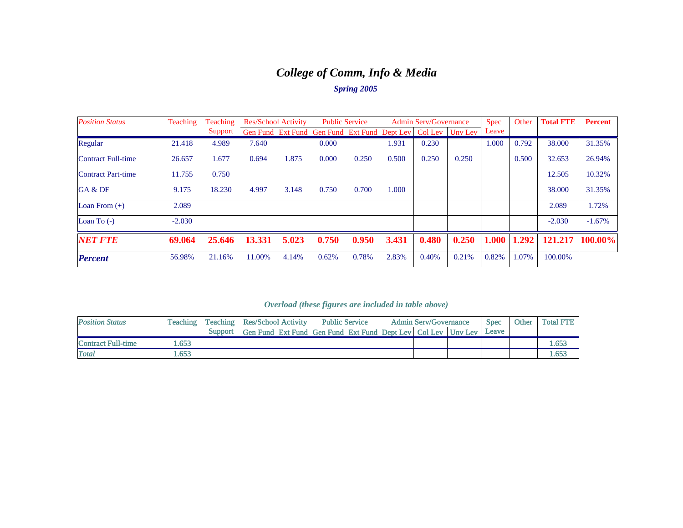# *College of Comm, Info & Media*

### *Spring 2005*

| <b>Position Status</b>    | Teaching | <b>Teaching</b> | <b>Res/School Activity</b> |       | <b>Public Service</b>                        |       |       | <b>Admin Serv/Governance</b> |                   | <b>Spec</b> | Other | <b>Total FTE</b> | <b>Percent</b> |
|---------------------------|----------|-----------------|----------------------------|-------|----------------------------------------------|-------|-------|------------------------------|-------------------|-------------|-------|------------------|----------------|
|                           |          | Support         |                            |       | Gen Fund Ext Fund Gen Fund Ext Fund Dept Lev |       |       |                              | Col Lev   Uny Lev | Leave       |       |                  |                |
| Regular                   | 21.418   | 4.989           | 7.640                      |       | 0.000                                        |       | 1.931 | 0.230                        |                   | 1.000       | 0.792 | 38.000           | 31.35%         |
| Contract Full-time        | 26.657   | 1.677           | 0.694                      | 1.875 | 0.000                                        | 0.250 | 0.500 | 0.250                        | 0.250             |             | 0.500 | 32.653           | 26.94%         |
| <b>Contract Part-time</b> | 11.755   | 0.750           |                            |       |                                              |       |       |                              |                   |             |       | 12.505           | 10.32%         |
| GA & DF                   | 9.175    | 18.230          | 4.997                      | 3.148 | 0.750                                        | 0.700 | 1.000 |                              |                   |             |       | 38,000           | 31.35%         |
| Loan From $(+)$           | 2.089    |                 |                            |       |                                              |       |       |                              |                   |             |       | 2.089            | 1.72%          |
| Loan To $(-)$             | $-2.030$ |                 |                            |       |                                              |       |       |                              |                   |             |       | $-2.030$         | $-1.67\%$      |
| <b>NET FTE</b>            | 69.064   | 25.646          | 13.331                     | 5.023 | 0.750                                        | 0.950 | 3.431 | 0.480                        | 0.250             | 1.000       | 1.292 | 121.217          | 100.00%        |
| <b>Percent</b>            | 56.98%   | 21.16%          | 11.00%                     | 4.14% | 0.62%                                        | 0.78% | 2.83% | 0.40%                        | 0.21%             | 0.82%       | 1.07% | 100.00%          |                |

| <b>Position Status</b> | Teaching | Teaching | <b>Res/School Activity</b>                                       | <b>Public Service</b> | <b>Admin Serv/Governance</b> | <b>Spec</b> | Other | <b>Total FTE</b> |
|------------------------|----------|----------|------------------------------------------------------------------|-----------------------|------------------------------|-------------|-------|------------------|
|                        |          | Support  | Gen Fund Ext Fund Gen Fund Ext Fund Dept Lev   Col Lev   Uny Lev |                       |                              | Leave       |       |                  |
| Contract Full-time     | .653     |          |                                                                  |                       |                              |             |       | .653             |
| <b>Total</b>           | .653     |          |                                                                  |                       |                              |             |       | 653              |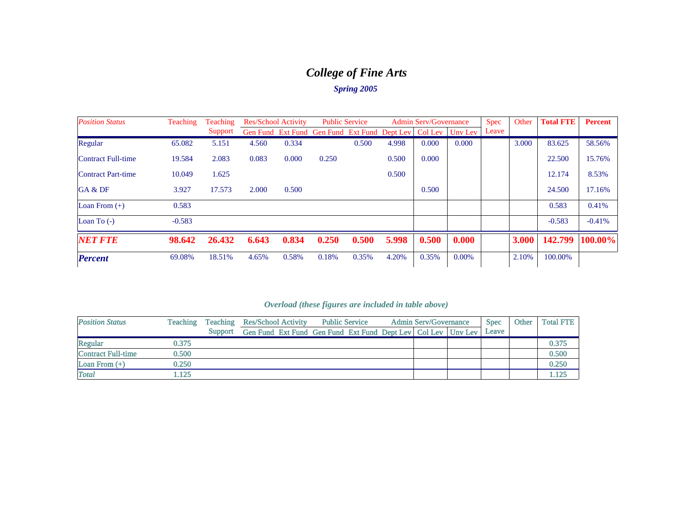# *College of Fine Arts*

### *Spring 2005*

| <b>Position Status</b>    | Teaching | <b>Teaching</b> | <b>Res/School Activity</b> |       | <b>Public Service</b>                                            |       |       | <b>Admin Serv/Governance</b> |       | <b>Spec</b> | Other | <b>Total FTE</b> | <b>Percent</b> |
|---------------------------|----------|-----------------|----------------------------|-------|------------------------------------------------------------------|-------|-------|------------------------------|-------|-------------|-------|------------------|----------------|
|                           |          | Support         |                            |       | Gen Fund Ext Fund Gen Fund Ext Fund Dept Lev   Col Lev   Unv Lev |       |       |                              |       | Leave       |       |                  |                |
| Regular                   | 65.082   | 5.151           | 4.560                      | 0.334 |                                                                  | 0.500 | 4.998 | 0.000                        | 0.000 |             | 3.000 | 83.625           | 58.56%         |
| <b>Contract Full-time</b> | 19.584   | 2.083           | 0.083                      | 0.000 | 0.250                                                            |       | 0.500 | 0.000                        |       |             |       | 22.500           | 15.76%         |
| <b>Contract Part-time</b> | 10.049   | 1.625           |                            |       |                                                                  |       | 0.500 |                              |       |             |       | 12.174           | 8.53%          |
| GA & DF                   | 3.927    | 17.573          | 2.000                      | 0.500 |                                                                  |       |       | 0.500                        |       |             |       | 24.500           | 17.16%         |
| Loan From $(+)$           | 0.583    |                 |                            |       |                                                                  |       |       |                              |       |             |       | 0.583            | 0.41%          |
| Loan To $(-)$             | $-0.583$ |                 |                            |       |                                                                  |       |       |                              |       |             |       | $-0.583$         | $-0.41%$       |
| <b>NET FTE</b>            | 98.642   | 26.432          | 6.643                      | 0.834 | 0.250                                                            | 0.500 | 5.998 | 0.500                        | 0.000 |             | 3.000 | 142.799          | 100.00%        |
| <b>Percent</b>            | 69.08%   | 18.51%          | 4.65%                      | 0.58% | 0.18%                                                            | 0.35% | 4.20% | 0.35%                        | 0.00% |             | 2.10% | 100.00%          |                |

| <b>Position Status</b>    | <b>Teaching</b> | Teaching | <b>Res/School Activity</b>                                       | <b>Public Service</b> |  | <b>Admin Serv/Governance</b> | <b>Spec</b> | Other | <b>Total FTE</b> |
|---------------------------|-----------------|----------|------------------------------------------------------------------|-----------------------|--|------------------------------|-------------|-------|------------------|
|                           |                 | Support  | Gen Fund Ext Fund Gen Fund Ext Fund Dept Lev   Col Lev   Unv Lev |                       |  |                              | Leave       |       |                  |
| Regular                   | 0.375           |          |                                                                  |                       |  |                              |             |       | 0.375            |
| <b>Contract Full-time</b> | 0.500           |          |                                                                  |                       |  |                              |             |       | 0.500            |
| Loan From $(+)$           | 0.250           |          |                                                                  |                       |  |                              |             |       | 0.250            |
| <b>Total</b>              | 1.125           |          |                                                                  |                       |  |                              |             |       | 1.125            |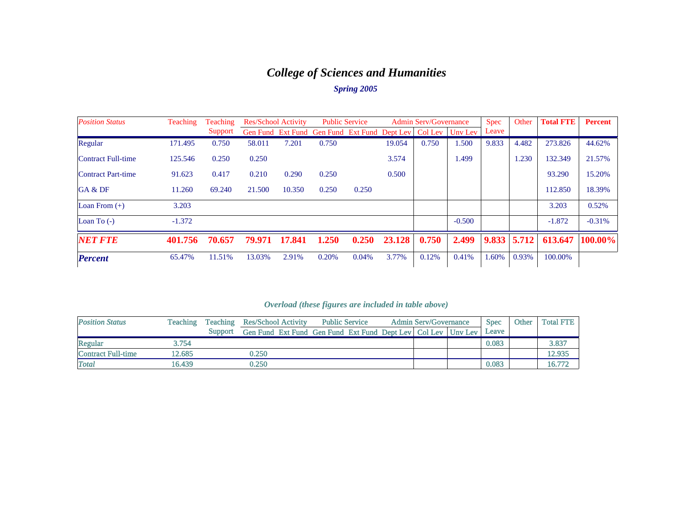# *College of Sciences and Humanities*

### *Spring 2005*

| <b>Position Status</b>    | Teaching | <b>Teaching</b> | <b>Res/School Activity</b> |        |                                              | <b>Public Service</b> |        | <b>Admin Serv/Governance</b> |                   | <b>Spec</b> | Other | <b>Total FTE</b> | <b>Percent</b> |
|---------------------------|----------|-----------------|----------------------------|--------|----------------------------------------------|-----------------------|--------|------------------------------|-------------------|-------------|-------|------------------|----------------|
|                           |          | Support         |                            |        | Gen Fund Ext Fund Gen Fund Ext Fund Dept Lev |                       |        |                              | Col Lev   Uny Lev | Leave       |       |                  |                |
| Regular                   | 171.495  | 0.750           | 58.011                     | 7.201  | 0.750                                        |                       | 19.054 | 0.750                        | 1.500             | 9.833       | 4.482 | 273.826          | 44.62%         |
| <b>Contract Full-time</b> | 125.546  | 0.250           | 0.250                      |        |                                              |                       | 3.574  |                              | 1.499             |             | 1.230 | 132.349          | 21.57%         |
| <b>Contract Part-time</b> | 91.623   | 0.417           | 0.210                      | 0.290  | 0.250                                        |                       | 0.500  |                              |                   |             |       | 93.290           | 15.20%         |
| GA & DF                   | 11.260   | 69.240          | 21.500                     | 10.350 | 0.250                                        | 0.250                 |        |                              |                   |             |       | 112.850          | 18.39%         |
| Loan From $(+)$           | 3.203    |                 |                            |        |                                              |                       |        |                              |                   |             |       | 3.203            | 0.52%          |
| Loan To $(-)$             | $-1.372$ |                 |                            |        |                                              |                       |        |                              | $-0.500$          |             |       | $-1.872$         | $-0.31%$       |
| <b>NET FTE</b>            | 401.756  | 70.657          | 79.971                     | 17.841 | 1.250                                        | 0.250                 | 23.128 | 0.750                        | 2.499             | 9.833       | 5.712 | 613.647          | 100.00%        |
| <b>Percent</b>            | 65.47%   | 11.51%          | 13.03%                     | 2.91%  | 0.20%                                        | 0.04%                 | 3.77%  | 0.12%                        | 0.41%             | 1.60%       | 0.93% | 100.00%          |                |

| <b>Position Status</b>    | Teaching |         | <b>Teaching Res/School Activity</b>                              |  | <b>Public Service</b> |  | <b>Admin Serv/Governance</b> | <b>Spec</b> | Other | <b>Total FTE</b> |
|---------------------------|----------|---------|------------------------------------------------------------------|--|-----------------------|--|------------------------------|-------------|-------|------------------|
|                           |          | Support | Gen Fund Ext Fund Gen Fund Ext Fund Dept Lev   Col Lev   Uny Lev |  |                       |  |                              | Leave       |       |                  |
| Regular                   | 3.754    |         |                                                                  |  |                       |  |                              | 0.083       |       | 3.837            |
| <b>Contract Full-time</b> | 12.685   |         | 0.250                                                            |  |                       |  |                              |             |       | 12.935           |
| Total                     | 16.439   |         | 0.250                                                            |  |                       |  |                              | 0.083       |       | 16.772           |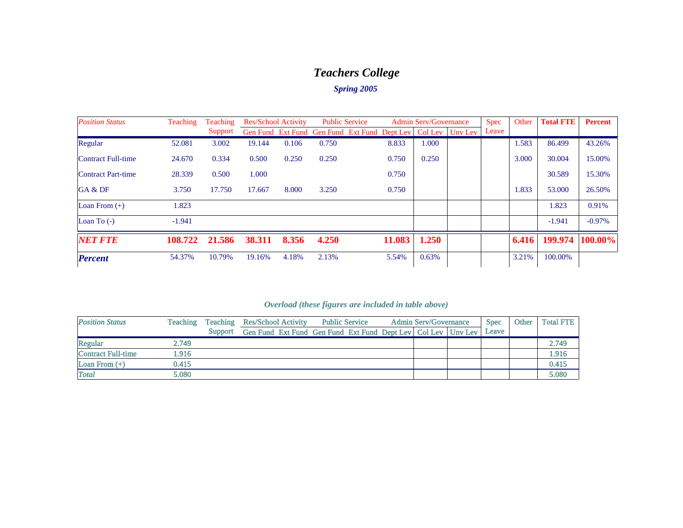# *Teachers College*

## *Spring 2005*

| <b>Position Status</b>    | <b>Teaching</b> | <b>Teaching</b> |        | <b>Res/School Activity</b> |                                              | <b>Public Service</b> | <b>Admin Serv/Governance</b> |       | <b>Spec</b>     | Other | <b>Total FTE</b> | <b>Percent</b> |           |
|---------------------------|-----------------|-----------------|--------|----------------------------|----------------------------------------------|-----------------------|------------------------------|-------|-----------------|-------|------------------|----------------|-----------|
|                           |                 | Support         |        |                            | Gen Fund Ext Fund Gen Fund Ext Fund Dept Lev |                       |                              |       | Col Lev Uny Lev | Leave |                  |                |           |
| Regular                   | 52.081          | 3.002           | 19.144 | 0.106                      | 0.750                                        |                       | 8.833                        | 1.000 |                 |       | 1.583            | 86.499         | 43.26%    |
| <b>Contract Full-time</b> | 24.670          | 0.334           | 0.500  | 0.250                      | 0.250                                        |                       | 0.750                        | 0.250 |                 |       | 3.000            | 30.004         | 15.00%    |
| <b>Contract Part-time</b> | 28.339          | 0.500           | 1.000  |                            |                                              |                       | 0.750                        |       |                 |       |                  | 30.589         | 15.30%    |
| GA & DF                   | 3.750           | 17.750          | 17.667 | 8.000                      | 3.250                                        |                       | 0.750                        |       |                 |       | 1.833            | 53,000         | 26.50%    |
| Loan From $(+)$           | 1.823           |                 |        |                            |                                              |                       |                              |       |                 |       |                  | 1.823          | 0.91%     |
| Loan To $(-)$             | $-1.941$        |                 |        |                            |                                              |                       |                              |       |                 |       |                  | $-1.941$       | $-0.97\%$ |
| <b>NET FTE</b>            | 108.722         | 21.586          | 38.311 | 8.356                      | 4.250                                        |                       | 11.083                       | 1.250 |                 |       | 6.416            | 199.974        | 100.00%   |
| <b>Percent</b>            | 54.37%          | 10.79%          | 19.16% | 4.18%                      | 2.13%                                        |                       | 5.54%                        | 0.63% |                 |       | 3.21%            | 100.00%        |           |

| <b>Position Status</b>    | <b>Teaching</b> | Teaching | <b>Res/School Activity</b><br><b>Public Service</b>              |  |  |  | <b>Admin Serv/Governance</b> | <b>Spec</b> | Other | <b>Total FTE</b> |       |
|---------------------------|-----------------|----------|------------------------------------------------------------------|--|--|--|------------------------------|-------------|-------|------------------|-------|
|                           |                 | Support  | Gen Fund Ext Fund Gen Fund Ext Fund Dept Lev   Col Lev   Unv Lev |  |  |  |                              |             | Leave |                  |       |
| Regular                   | 2.749           |          |                                                                  |  |  |  |                              |             |       |                  | 2.749 |
| <b>Contract Full-time</b> | l.916           |          |                                                                  |  |  |  |                              |             |       |                  | 1.916 |
| Loan From $(+)$           | 0.415           |          |                                                                  |  |  |  |                              |             |       |                  | 0.415 |
| <b>Total</b>              | 5.080           |          |                                                                  |  |  |  |                              |             |       |                  | 5.080 |